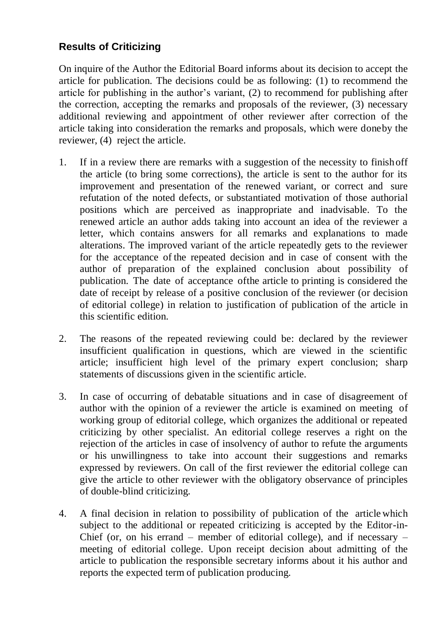## **Results of Criticizing**

On inquire of the Author the Editorial Board informs about its decision to accept the article for publication. The decisions could be as following: (1) to recommend the article for publishing in the author's variant, (2) to recommend for publishing after the correction, accepting the remarks and proposals of the reviewer, (3) necessary additional reviewing and appointment of other reviewer after correction of the article taking into consideration the remarks and proposals, which were doneby the reviewer, (4) reject the article.

- 1. If in a review there are remarks with a suggestion of the necessity to finishoff the article (to bring some corrections), the article is sent to the author for its improvement and presentation of the renewed variant, or correct and sure refutation of the noted defects, or substantiated motivation of those authorial positions which are perceived as inappropriate and inadvisable. To the renewed article an author adds taking into account an idea of the reviewer a letter, which contains answers for all remarks and explanations to made alterations. The improved variant of the article repeatedly gets to the reviewer for the acceptance of the repeated decision and in case of consent with the author of preparation of the explained conclusion about possibility of publication. The date of acceptance ofthe article to printing is considered the date of receipt by release of a positive conclusion of the reviewer (or decision of editorial college) in relation to justification of publication of the article in this scientific edition.
- 2. The reasons of the repeated reviewing could be: declared by the reviewer insufficient qualification in questions, which are viewed in the scientific article; insufficient high level of the primary expert conclusion; sharp statements of discussions given in the scientific article.
- 3. In case of occurring of debatable situations and in case of disagreement of author with the opinion of a reviewer the article is examined on meeting of working group of editorial college, which organizes the additional or repeated criticizing by other specialist. An editorial college reserves a right on the rejection of the articles in case of insolvency of author to refute the arguments or his unwillingness to take into account their suggestions and remarks expressed by reviewers. On call of the first reviewer the editorial college can give the article to other reviewer with the obligatory observance of principles of double-blind criticizing.
- 4. A final decision in relation to possibility of publication of the article which subject to the additional or repeated criticizing is accepted by the Editor-in-Chief (or, on his errand – member of editorial college), and if necessary – meeting of editorial college. Upon receipt decision about admitting of the article to publication the responsible secretary informs about it his author and reports the expected term of publication producing.